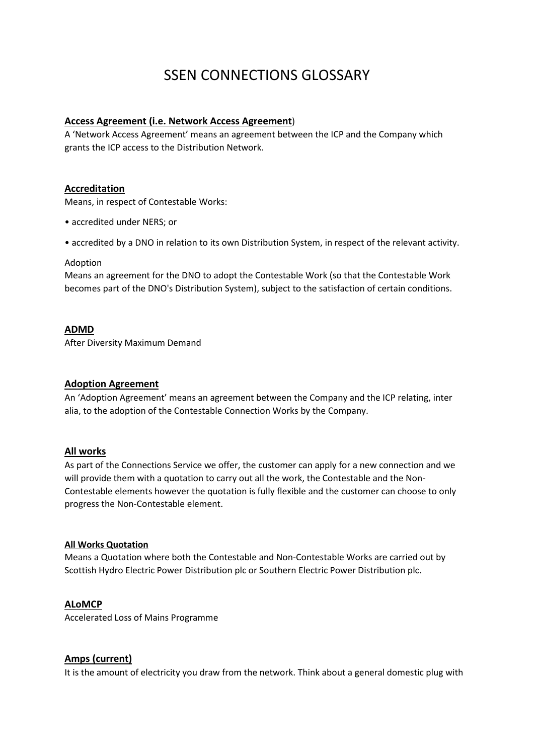# SSEN CONNECTIONS GLOSSARY

## **Access Agreement (i.e. Network Access Agreement**)

A 'Network Access Agreement' means an agreement between the ICP and the Company which grants the ICP access to the Distribution Network.

#### **Accreditation**

Means, in respect of Contestable Works:

- accredited under NERS; or
- accredited by a DNO in relation to its own Distribution System, in respect of the relevant activity.

#### Adoption

Means an agreement for the DNO to adopt the Contestable Work (so that the Contestable Work becomes part of the DNO's Distribution System), subject to the satisfaction of certain conditions.

#### **ADMD**

After Diversity Maximum Demand

#### **Adoption Agreement**

An 'Adoption Agreement' means an agreement between the Company and the ICP relating, inter alia, to the adoption of the Contestable Connection Works by the Company.

#### **All works**

As part of the Connections Service we offer, the customer can apply for a new connection and we will provide them with a quotation to carry out all the work, the Contestable and the Non-Contestable elements however the quotation is fully flexible and the customer can choose to only progress the Non-Contestable element.

#### **All Works Quotation**

Means a Quotation where both the Contestable and Non-Contestable Works are carried out by Scottish Hydro Electric Power Distribution plc or Southern Electric Power Distribution plc.

#### **ALoMCP**

Accelerated Loss of Mains Programme

#### **Amps (current)**

It is the amount of electricity you draw from the network. Think about a general domestic plug with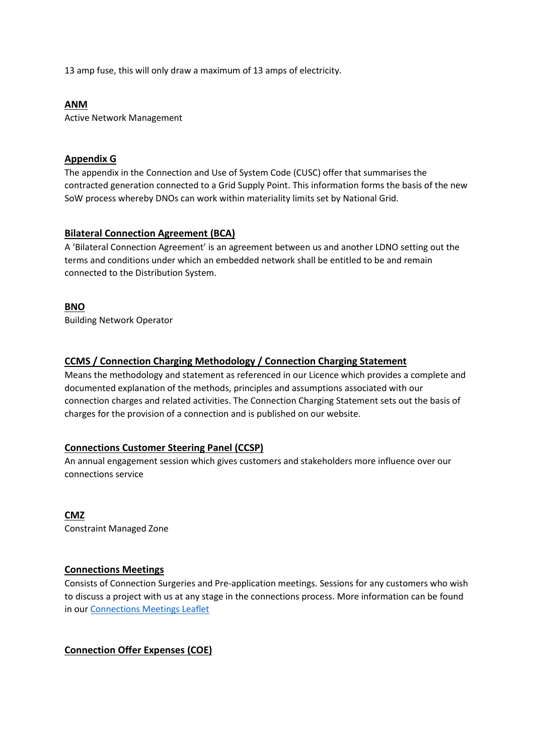13 amp fuse, this will only draw a maximum of 13 amps of electricity.

## **ANM**

Active Network Management

#### **Appendix G**

The appendix in the Connection and Use of System Code (CUSC) offer that summarises the contracted generation connected to a Grid Supply Point. This information forms the basis of the new SoW process whereby DNOs can work within materiality limits set by National Grid.

## **Bilateral Connection Agreement (BCA)**

A 'Bilateral Connection Agreement' is an agreement between us and another LDNO setting out the terms and conditions under which an embedded network shall be entitled to be and remain connected to the Distribution System.

## **BNO**

Building Network Operator

#### **CCMS / Connection Charging Methodology / Connection Charging Statement**

Means the methodology and statement as referenced in our Licence which provides a complete and documented explanation of the methods, principles and assumptions associated with our connection charges and related activities. The Connection Charging Statement sets out the basis of charges for the provision of a connection and is published on our website.

## **Connections Customer Steering Panel (CCSP)**

An annual engagement session which gives customers and stakeholders more influence over our connections service

## **CMZ**

Constraint Managed Zone

## **Connections Meetings**

Consists of Connection Surgeries and Pre-application meetings. Sessions for any customers who wish to discuss a project with us at any stage in the connections process. More information can be found in ou[r Connections Meetings Leaflet](https://www.ssen.co.uk/WorkArea/DownloadAsset.aspx?id=20123)

# **Connection Offer Expenses (COE)**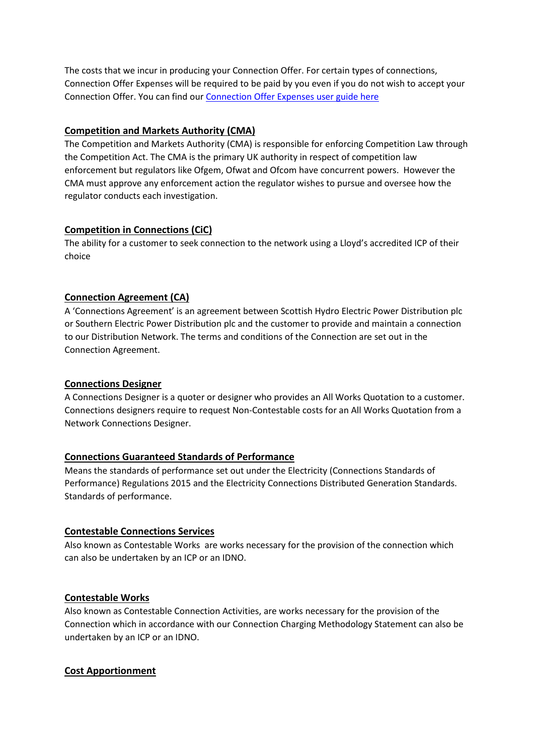The costs that we incur in producing your Connection Offer. For certain types of connections, Connection Offer Expenses will be required to be paid by you even if you do not wish to accept your Connection Offer. You can find our [Connection Offer Expenses user guide here](https://www.ssen.co.uk/connections/usefuldocuments/)

## **Competition and Markets Authority (CMA)**

The Competition and Markets Authority (CMA) is responsible for enforcing Competition Law through the Competition Act. The CMA is the primary UK authority in respect of competition law enforcement but regulators like Ofgem, Ofwat and Ofcom have concurrent powers. However the CMA must approve any enforcement action the regulator wishes to pursue and oversee how the regulator conducts each investigation.

# **Competition in Connections (CiC)**

The ability for a customer to seek connection to the network using a Lloyd's accredited ICP of their choice

# **Connection Agreement (CA)**

A 'Connections Agreement' is an agreement between Scottish Hydro Electric Power Distribution plc or Southern Electric Power Distribution plc and the customer to provide and maintain a connection to our Distribution Network. The terms and conditions of the Connection are set out in the Connection Agreement.

## **Connections Designer**

A Connections Designer is a quoter or designer who provides an All Works Quotation to a customer. Connections designers require to request Non-Contestable costs for an All Works Quotation from a Network Connections Designer.

## **Connections Guaranteed Standards of Performance**

Means the standards of performance set out under the Electricity (Connections Standards of Performance) Regulations 2015 and the Electricity Connections Distributed Generation Standards. Standards of performance.

## **Contestable Connections Services**

Also known as Contestable Works are works necessary for the provision of the connection which can also be undertaken by an ICP or an IDNO.

## **Contestable Works**

Also known as Contestable Connection Activities, are works necessary for the provision of the Connection which in accordance with our Connection Charging Methodology Statement can also be undertaken by an ICP or an IDNO.

# **Cost Apportionment**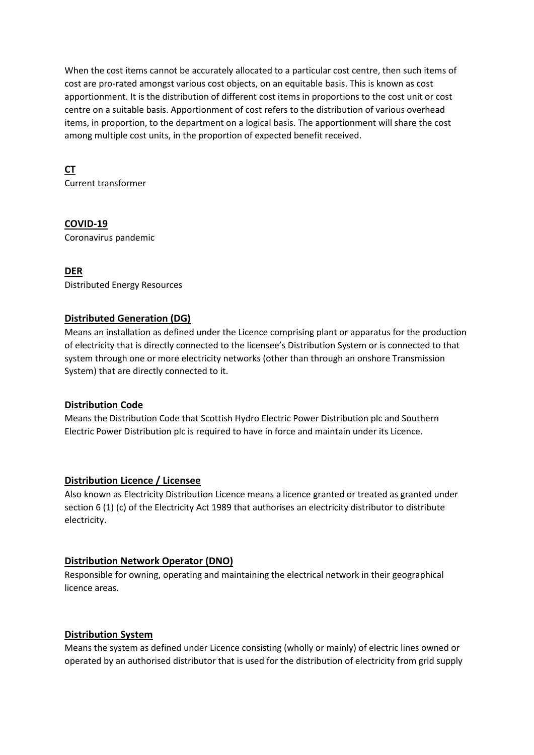When the cost items cannot be accurately allocated to a particular cost centre, then such items of cost are pro-rated amongst various cost objects, on an equitable basis. This is known as cost apportionment. It is the distribution of different cost items in proportions to the cost unit or cost centre on a suitable basis. Apportionment of cost refers to the distribution of various overhead items, in proportion, to the department on a logical basis. The apportionment will share the cost among multiple cost units, in the proportion of expected benefit received.

# **CT**

Current transformer

## **COVID-19**

Coronavirus pandemic

## **DER**

Distributed Energy Resources

## **Distributed Generation (DG)**

Means an installation as defined under the Licence comprising plant or apparatus for the production of electricity that is directly connected to the licensee's Distribution System or is connected to that system through one or more electricity networks (other than through an onshore Transmission System) that are directly connected to it.

## **Distribution Code**

Means the Distribution Code that Scottish Hydro Electric Power Distribution plc and Southern Electric Power Distribution plc is required to have in force and maintain under its Licence.

## **Distribution Licence / Licensee**

Also known as Electricity Distribution Licence means a licence granted or treated as granted under section 6 (1) (c) of the Electricity Act 1989 that authorises an electricity distributor to distribute electricity.

## **Distribution Network Operator (DNO)**

Responsible for owning, operating and maintaining the electrical network in their geographical licence areas.

## **Distribution System**

Means the system as defined under Licence consisting (wholly or mainly) of electric lines owned or operated by an authorised distributor that is used for the distribution of electricity from grid supply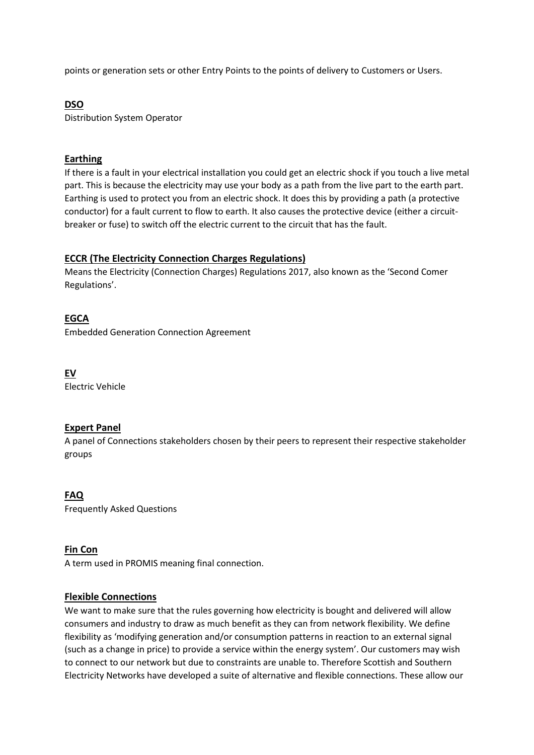points or generation sets or other Entry Points to the points of delivery to Customers or Users.

# **DSO**

Distribution System Operator

## **Earthing**

If there is a fault in your electrical installation you could get an electric shock if you touch a live metal part. This is because the electricity may use your body as a path from the live part to the earth part. Earthing is used to protect you from an electric shock. It does this by providing a path (a protective conductor) for a fault current to flow to earth. It also causes the protective device (either a circuitbreaker or fuse) to switch off the electric current to the circuit that has the fault.

# **ECCR (The Electricity Connection Charges Regulations)**

Means the Electricity (Connection Charges) Regulations 2017, also known as the 'Second Comer Regulations'.

# **EGCA**

Embedded Generation Connection Agreement

**EV** Electric Vehicle

# **Expert Panel**

A panel of Connections stakeholders chosen by their peers to represent their respective stakeholder groups

## **FAQ**

Frequently Asked Questions

## **Fin Con**

A term used in PROMIS meaning final connection.

## **Flexible Connections**

We want to make sure that the rules governing how electricity is bought and delivered will allow consumers and industry to draw as much benefit as they can from network flexibility. We define flexibility as 'modifying generation and/or consumption patterns in reaction to an external signal (such as a change in price) to provide a service within the energy system'. Our customers may wish to connect to our network but due to constraints are unable to. Therefore Scottish and Southern Electricity Networks have developed a suite of alternative and flexible connections. These allow our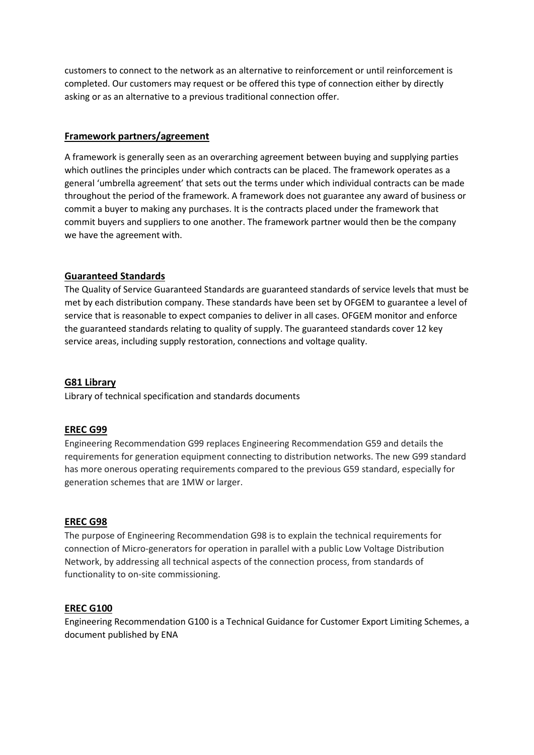customers to connect to the network as an alternative to reinforcement or until reinforcement is completed. Our customers may request or be offered this type of connection either by directly asking or as an alternative to a previous traditional connection offer.

## **Framework partners/agreement**

A framework is generally seen as an overarching agreement between buying and supplying parties which outlines the principles under which contracts can be placed. The framework operates as a general 'umbrella agreement' that sets out the terms under which individual contracts can be made throughout the period of the framework. A framework does not guarantee any award of business or commit a buyer to making any purchases. It is the contracts placed under the framework that commit buyers and suppliers to one another. The framework partner would then be the company we have the agreement with.

#### **Guaranteed Standards**

The Quality of Service Guaranteed Standards are guaranteed standards of service levels that must be met by each distribution company. These standards have been set by OFGEM to guarantee a level of service that is reasonable to expect companies to deliver in all cases. OFGEM monitor and enforce the guaranteed standards relating to quality of supply. The guaranteed standards cover 12 key service areas, including supply restoration, connections and voltage quality.

#### **G81 Library**

Library of technical specification and standards documents

#### **EREC G99**

Engineering Recommendation G99 replaces Engineering Recommendation G59 and details the requirements for generation equipment connecting to distribution networks. The new G99 standard has more onerous operating requirements compared to the previous G59 standard, especially for generation schemes that are 1MW or larger.

#### **EREC G98**

The purpose of Engineering Recommendation G98 is to explain the technical requirements for connection of Micro-generators for operation in parallel with a public Low Voltage Distribution Network, by addressing all technical aspects of the connection process, from standards of functionality to on-site commissioning.

#### **EREC G100**

Engineering Recommendation G100 is a Technical Guidance for Customer Export Limiting Schemes, a document published by ENA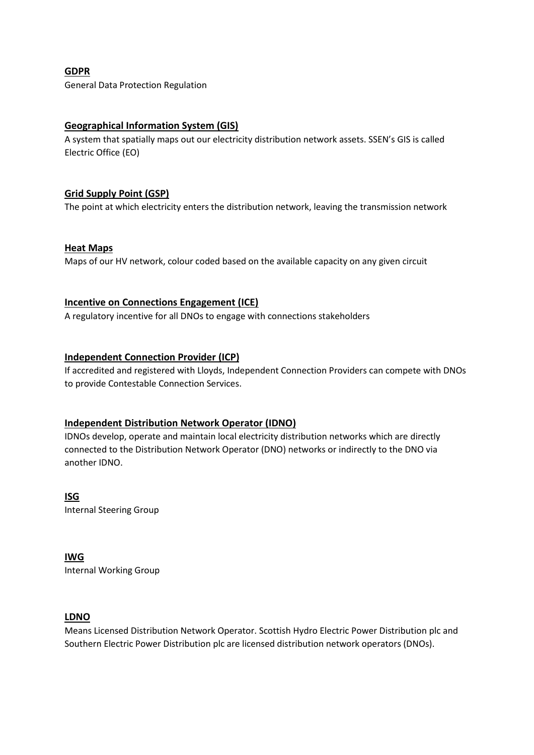**GDPR** General Data Protection Regulation

# **Geographical Information System (GIS)**

A system that spatially maps out our electricity distribution network assets. SSEN's GIS is called Electric Office (EO)

## **Grid Supply Point (GSP)**

The point at which electricity enters the distribution network, leaving the transmission network

#### **Heat Maps**

Maps of our HV network, colour coded based on the available capacity on any given circuit

#### **Incentive on Connections Engagement (ICE)**

A regulatory incentive for all DNOs to engage with connections stakeholders

#### **Independent Connection Provider (ICP)**

If accredited and registered with Lloyds, Independent Connection Providers can compete with DNOs to provide Contestable Connection Services.

## **Independent Distribution Network Operator (IDNO)**

IDNOs develop, operate and maintain local electricity distribution networks which are directly connected to the Distribution Network Operator (DNO) networks or indirectly to the DNO via another IDNO.

**ISG** Internal Steering Group

**IWG** Internal Working Group

#### **LDNO**

Means Licensed Distribution Network Operator. Scottish Hydro Electric Power Distribution plc and Southern Electric Power Distribution plc are licensed distribution network operators (DNOs).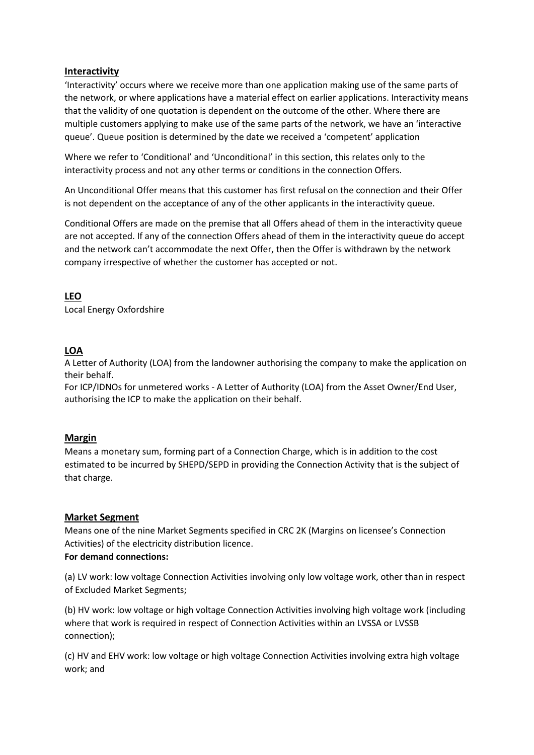## **Interactivity**

'Interactivity' occurs where we receive more than one application making use of the same parts of the network, or where applications have a material effect on earlier applications. Interactivity means that the validity of one quotation is dependent on the outcome of the other. Where there are multiple customers applying to make use of the same parts of the network, we have an 'interactive queue'. Queue position is determined by the date we received a 'competent' application

Where we refer to 'Conditional' and 'Unconditional' in this section, this relates only to the interactivity process and not any other terms or conditions in the connection Offers.

An Unconditional Offer means that this customer has first refusal on the connection and their Offer is not dependent on the acceptance of any of the other applicants in the interactivity queue.

Conditional Offers are made on the premise that all Offers ahead of them in the interactivity queue are not accepted. If any of the connection Offers ahead of them in the interactivity queue do accept and the network can't accommodate the next Offer, then the Offer is withdrawn by the network company irrespective of whether the customer has accepted or not.

**LEO**

Local Energy Oxfordshire

## **LOA**

A Letter of Authority (LOA) from the landowner authorising the company to make the application on their behalf.

For ICP/IDNOs for unmetered works - A Letter of Authority (LOA) from the Asset Owner/End User, authorising the ICP to make the application on their behalf.

#### **Margin**

Means a monetary sum, forming part of a Connection Charge, which is in addition to the cost estimated to be incurred by SHEPD/SEPD in providing the Connection Activity that is the subject of that charge.

## **Market Segment**

Means one of the nine Market Segments specified in CRC 2K (Margins on licensee's Connection Activities) of the electricity distribution licence.

#### **For demand connections:**

(a) LV work: low voltage Connection Activities involving only low voltage work, other than in respect of Excluded Market Segments;

(b) HV work: low voltage or high voltage Connection Activities involving high voltage work (including where that work is required in respect of Connection Activities within an LVSSA or LVSSB connection);

(c) HV and EHV work: low voltage or high voltage Connection Activities involving extra high voltage work; and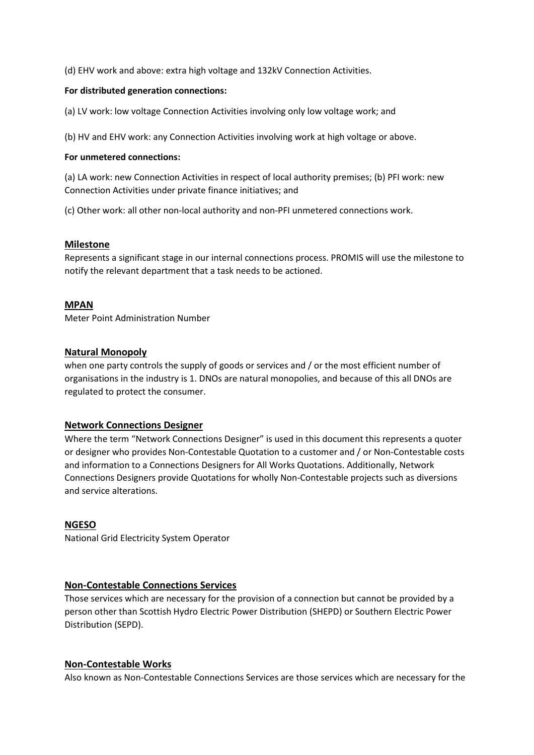(d) EHV work and above: extra high voltage and 132kV Connection Activities.

#### **For distributed generation connections:**

(a) LV work: low voltage Connection Activities involving only low voltage work; and

(b) HV and EHV work: any Connection Activities involving work at high voltage or above.

#### **For unmetered connections:**

(a) LA work: new Connection Activities in respect of local authority premises; (b) PFI work: new Connection Activities under private finance initiatives; and

(c) Other work: all other non-local authority and non-PFI unmetered connections work.

#### **Milestone**

Represents a significant stage in our internal connections process. PROMIS will use the milestone to notify the relevant department that a task needs to be actioned.

#### **MPAN**

Meter Point Administration Number

## **Natural Monopoly**

when one party controls the supply of goods or services and / or the most efficient number of organisations in the industry is 1. DNOs are natural monopolies, and because of this all DNOs are regulated to protect the consumer.

## **Network Connections Designer**

Where the term "Network Connections Designer" is used in this document this represents a quoter or designer who provides Non-Contestable Quotation to a customer and / or Non-Contestable costs and information to a Connections Designers for All Works Quotations. Additionally, Network Connections Designers provide Quotations for wholly Non-Contestable projects such as diversions and service alterations.

#### **NGESO**

National Grid Electricity System Operator

## **Non-Contestable Connections Services**

Those services which are necessary for the provision of a connection but cannot be provided by a person other than Scottish Hydro Electric Power Distribution (SHEPD) or Southern Electric Power Distribution (SEPD).

## **Non-Contestable Works**

Also known as Non-Contestable Connections Services are those services which are necessary for the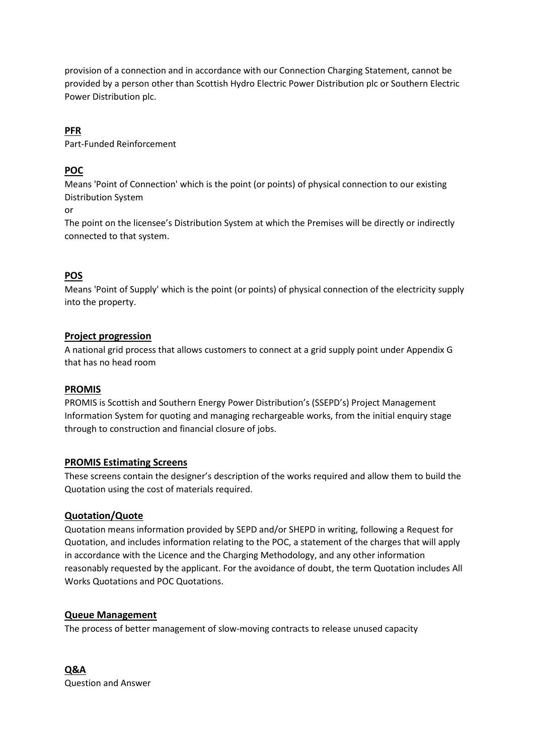provision of a connection and in accordance with our Connection Charging Statement, cannot be provided by a person other than Scottish Hydro Electric Power Distribution plc or Southern Electric Power Distribution plc.

# **PFR**

Part-Funded Reinforcement

# **POC**

Means 'Point of Connection' which is the point (or points) of physical connection to our existing Distribution System

or

The point on the licensee's Distribution System at which the Premises will be directly or indirectly connected to that system.

# **POS**

Means 'Point of Supply' which is the point (or points) of physical connection of the electricity supply into the property.

# **Project progression**

A national grid process that allows customers to connect at a grid supply point under Appendix G that has no head room

## **PROMIS**

PROMIS is Scottish and Southern Energy Power Distribution's (SSEPD's) Project Management Information System for quoting and managing rechargeable works, from the initial enquiry stage through to construction and financial closure of jobs.

# **PROMIS Estimating Screens**

These screens contain the designer's description of the works required and allow them to build the Quotation using the cost of materials required.

# **Quotation/Quote**

Quotation means information provided by SEPD and/or SHEPD in writing, following a Request for Quotation, and includes information relating to the POC, a statement of the charges that will apply in accordance with the Licence and the Charging Methodology, and any other information reasonably requested by the applicant. For the avoidance of doubt, the term Quotation includes All Works Quotations and POC Quotations.

## **Queue Management**

The process of better management of slow-moving contracts to release unused capacity

**Q&A** Question and Answer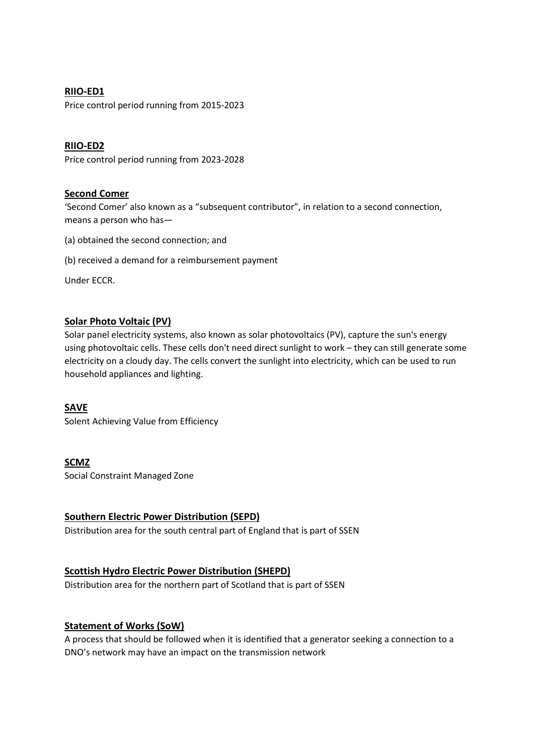## **RIIO-ED1**

Price control period running from 2015-2023

## **RIIO-ED2**

Price control period running from 2023-2028

#### **Second Comer**

'Second Comer' also known as a "subsequent contributor", in relation to a second connection, means a person who has—

- (a) obtained the second connection; and
- (b) received a demand for a reimbursement payment

Under ECCR.

# **Solar Photo Voltaic (PV)**

Solar panel electricity systems, also known as solar photovoltaics (PV), capture the sun's energy using photovoltaic cells. These cells don't need direct sunlight to work – they can still generate some electricity on a cloudy day. The cells convert the sunlight into electricity, which can be used to run household appliances and lighting.

## **SAVE**

Solent Achieving Value from Efficiency

## **SCMZ**

Social Constraint Managed Zone

## **Southern Electric Power Distribution (SEPD)**

Distribution area for the south central part of England that is part of SSEN

## **Scottish Hydro Electric Power Distribution (SHEPD)**

Distribution area for the northern part of Scotland that is part of SSEN

## **Statement of Works (SoW)**

A process that should be followed when it is identified that a generator seeking a connection to a DNO's network may have an impact on the transmission network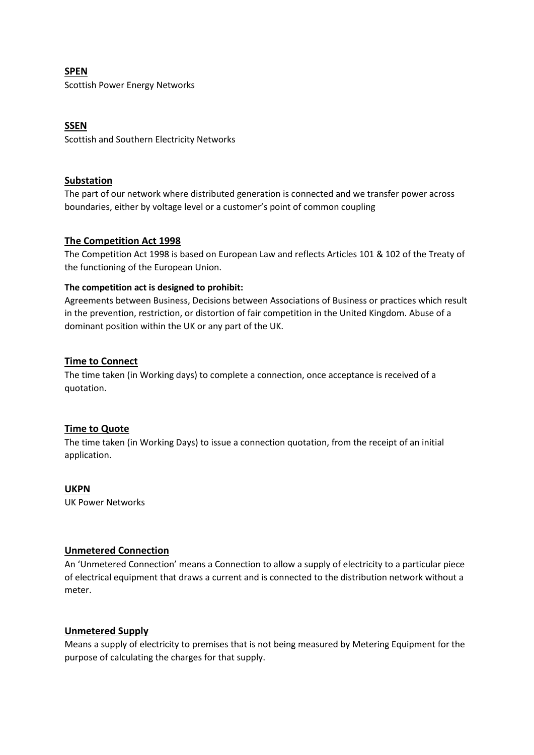## **SPEN**

Scottish Power Energy Networks

## **SSEN**

Scottish and Southern Electricity Networks

## **Substation**

The part of our network where distributed generation is connected and we transfer power across boundaries, either by voltage level or a customer's point of common coupling

## **The Competition Act 1998**

The Competition Act 1998 is based on European Law and reflects Articles 101 & 102 of the Treaty of the functioning of the European Union.

## **The competition act is designed to prohibit:**

Agreements between Business, Decisions between Associations of Business or practices which result in the prevention, restriction, or distortion of fair competition in the United Kingdom. Abuse of a dominant position within the UK or any part of the UK.

## **Time to Connect**

The time taken (in Working days) to complete a connection, once acceptance is received of a quotation.

## **Time to Quote**

The time taken (in Working Days) to issue a connection quotation, from the receipt of an initial application.

**UKPN** UK Power Networks

## **Unmetered Connection**

An 'Unmetered Connection' means a Connection to allow a supply of electricity to a particular piece of electrical equipment that draws a current and is connected to the distribution network without a meter.

## **Unmetered Supply**

Means a supply of electricity to premises that is not being measured by Metering Equipment for the purpose of calculating the charges for that supply.